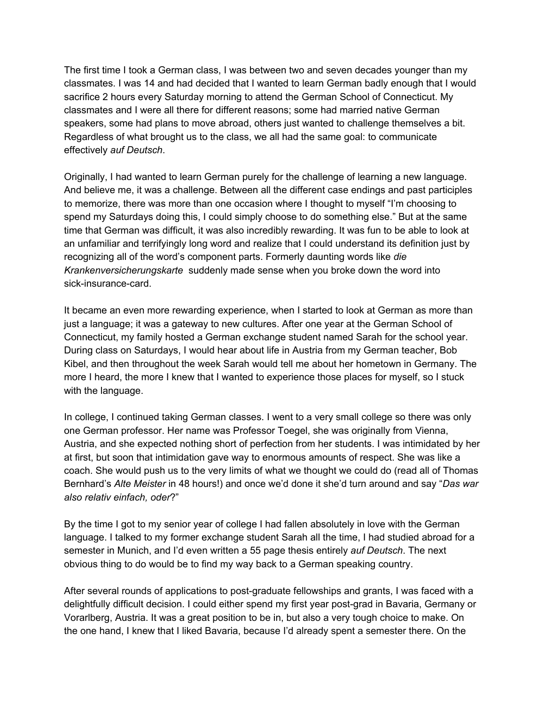The first time I took a German class, I was between two and seven decades younger than my classmates. I was 14 and had decided that I wanted to learn German badly enough that I would sacrifice 2 hours every Saturday morning to attend the German School of Connecticut. My classmates and I were all there for different reasons; some had married native German speakers, some had plans to move abroad, others just wanted to challenge themselves a bit. Regardless of what brought us to the class, we all had the same goal: to communicate effectively *auf Deutsch*.

Originally, I had wanted to learn German purely for the challenge of learning a new language. And believe me, it was a challenge. Between all the different case endings and past participles to memorize, there was more than one occasion where I thought to myself "I'm choosing to spend my Saturdays doing this, I could simply choose to do something else." But at the same time that German was difficult, it was also incredibly rewarding. It was fun to be able to look at an unfamiliar and terrifyingly long word and realize that I could understand its definition just by recognizing all of the word's component parts. Formerly daunting words like *die Krankenversicherungskarte* suddenly made sense when you broke down the word into sick-insurance-card.

It became an even more rewarding experience, when I started to look at German as more than just a language; it was a gateway to new cultures. After one year at the German School of Connecticut, my family hosted a German exchange student named Sarah for the school year. During class on Saturdays, I would hear about life in Austria from my German teacher, Bob Kibel, and then throughout the week Sarah would tell me about her hometown in Germany. The more I heard, the more I knew that I wanted to experience those places for myself, so I stuck with the language.

In college, I continued taking German classes. I went to a very small college so there was only one German professor. Her name was Professor Toegel, she was originally from Vienna, Austria, and she expected nothing short of perfection from her students. I was intimidated by her at first, but soon that intimidation gave way to enormous amounts of respect. She was like a coach. She would push us to the very limits of what we thought we could do (read all of Thomas Bernhard's *Alte Meister* in 48 hours!) and once we'd done it she'd turn around and say "*Das war also relativ einfach, oder*?"

By the time I got to my senior year of college I had fallen absolutely in love with the German language. I talked to my former exchange student Sarah all the time, I had studied abroad for a semester in Munich, and I'd even written a 55 page thesis entirely *auf Deutsch*. The next obvious thing to do would be to find my way back to a German speaking country.

After several rounds of applications to post-graduate fellowships and grants, I was faced with a delightfully difficult decision. I could either spend my first year post-grad in Bavaria, Germany or Vorarlberg, Austria. It was a great position to be in, but also a very tough choice to make. On the one hand, I knew that I liked Bavaria, because I'd already spent a semester there. On the